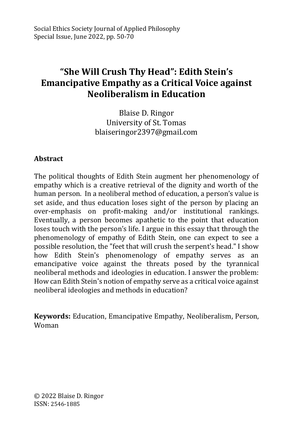# **"She Will Crush Thy Head": Edith Stein's Emancipative Empathy as a Critical Voice against Neoliberalism in Education**

Blaise D. Ringor University of St. Tomas blaiseringor2397@gmail.com

## **Abstract**

The political thoughts of Edith Stein augment her phenomenology of empathy which is a creative retrieval of the dignity and worth of the human person. In a neoliberal method of education, a person's value is set aside, and thus education loses sight of the person by placing an over-emphasis on profit-making and/or institutional rankings. Eventually, a person becomes apathetic to the point that education loses touch with the person's life. I argue in this essay that through the phenomenology of empathy of Edith Stein, one can expect to see a possible resolution, the "feet that will crush the serpent's head." I show how Edith Stein's phenomenology of empathy serves as an emancipative voice against the threats posed by the tyrannical neoliberal methods and ideologies in education. I answer the problem: How can Edith Stein's notion of empathy serve as a critical voice against neoliberal ideologies and methods in education?

**Keywords:** Education, Emancipative Empathy, Neoliberalism, Person, Woman

© 2022 Blaise D. Ringor ISSN: 2546-1885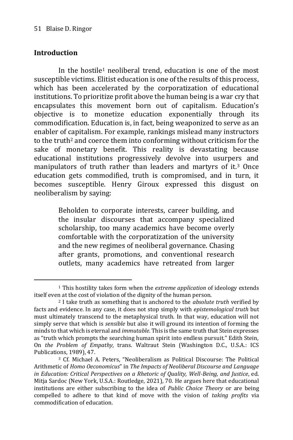### **Introduction**

-

In the hostile<sup>1</sup> neoliberal trend, education is one of the most susceptible victims. Elitist education is one of the results of this process, which has been accelerated by the corporatization of educational institutions. To prioritize profit above the human being is a war cry that encapsulates this movement born out of capitalism. Education's objective is to monetize education exponentially through its commodification. Education is, in fact, being weaponized to serve as an enabler of capitalism. For example, rankings mislead many instructors to the truth<sup>2</sup> and coerce them into conforming without criticism for the sake of monetary benefit. This reality is devastating because educational institutions progressively devolve into usurpers and manipulators of truth rather than leaders and martyrs of it.<sup>3</sup> Once education gets commodified, truth is compromised, and in turn, it becomes susceptible. Henry Giroux expressed this disgust on neoliberalism by saying:

> Beholden to corporate interests, career building, and the insular discourses that accompany specialized scholarship, too many academics have become overly comfortable with the corporatization of the university and the new regimes of neoliberal governance. Chasing after grants, promotions, and conventional research outlets, many academics have retreated from larger

<sup>1</sup> This hostility takes form when the *extreme application* of ideology extends itself even at the cost of violation of the dignity of the human person.

<sup>2</sup> I take truth as something that is anchored to the *absolute truth* verified by facts and evidence. In any case, it does not stop simply with *epistemological truth* but must ultimately transcend to the metaphysical truth. In that way, education will not simply serve that which is *sensible* but also it will ground its intention of forming the minds to that which is eternal and *immutable*. This is the same truth that Stein expresses as "truth which prompts the searching human spirit into endless pursuit." Edith Stein, On *the Problem of Empathy,* trans. Waltraut Stein (Washington D.C., U.S.A.: ICS Publications, 1989), 47.

<sup>3</sup> Cf. Michael A. Peters, "Neoliberalism as Political Discourse: The Political Arithmetic of *Homo Oeconomicus*" in *The Impacts of Neoliberal Discourse and Language in Education: Critical Perspectives on a Rhetoric of Quality, Well-Being, and Justice*, ed. Mitja Sardoc (New York, U.S.A.: Routledge, 2021), 70. He argues here that educational institutions are either subscribing to the idea of *Public Choice Theory* or are being compelled to adhere to that kind of move with the vision of *taking profits* via commodification of education.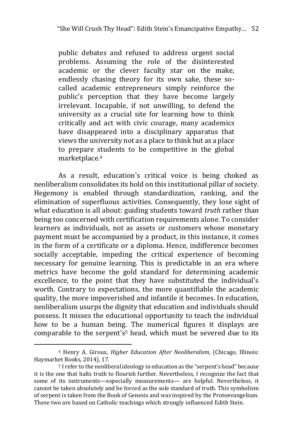public debates and refused to address urgent social problems. Assuming the role of the disinterested academic or the clever faculty star on the make, endlessly chasing theory for its own sake, these socalled academic entrepreneurs simply reinforce the public's perception that they have become largely irrelevant. Incapable, if not unwilling, to defend the university as a crucial site for learning how to think critically and act with civic courage, many academics have disappeared into a disciplinary apparatus that views the university not as a place to think but as a place to prepare students to be competitive in the global marketplace.<sup>4</sup>

As a result, education's critical voice is being choked as neoliberalism consolidates its hold on this institutional pillar of society. Hegemony is enabled through standardization, ranking, and the elimination of superfluous activities. Consequently, they lose sight of what education is all about: guiding students toward *truth* rather than being too concerned with certification requirements alone. To consider learners as individuals, not as assets or customers whose monetary payment must be accompanied by a product, in this instance, it comes in the form of a certificate or a diploma. Hence, indifference becomes socially acceptable, impeding the critical experience of becoming necessary for genuine learning. This is predictable in an era where metrics have become the gold standard for determining academic excellence, to the point that they have substituted the individual's worth. Contrary to expectations, the more quantifiable the academic quality, the more impoverished and infantile it becomes. In education, neoliberalism usurps the dignity that education and individuals should possess. It misses the educational opportunity to teach the individual how to be a human being. The numerical figures it displays are comparable to the serpent's<sup>5</sup> head, which must be severed due to its

<sup>4</sup> Henry A. Giroux, *Higher Education After Neoliberalism*, (Chicago, Illinois: Haymarket Books, 2014), 17.

<sup>&</sup>lt;sup>5</sup> I refer to the neoliberal ideology in education as the "serpent's head" because it is the one that halts truth to flourish further. Nevertheless, I recognize the fact that some of its instruments—especially measurements— are helpful. Nevertheless, it cannot be taken absolutely and be forced as the sole standard of truth. This symbolism of serpent is taken from the Book of Genesis and was inspired by the Protoevangelium. These two are based on Catholic teachings which strongly influenced Edith Stein.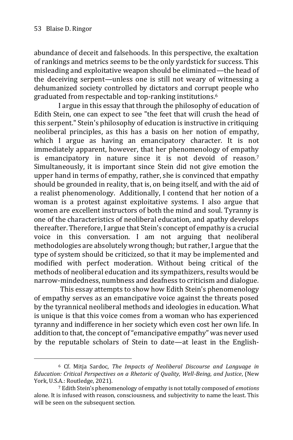-

abundance of deceit and falsehoods. In this perspective, the exaltation of rankings and metrics seems to be the only yardstick for success. This misleading and exploitative weapon should be eliminated—the head of the deceiving serpent—unless one is still not weary of witnessing a dehumanized society controlled by dictators and corrupt people who graduated from respectable and top-ranking institutions.<sup>6</sup>

I argue in this essay that through the philosophy of education of Edith Stein, one can expect to see "the feet that will crush the head of this serpent." Stein's philosophy of education is instructive in critiquing neoliberal principles, as this has a basis on her notion of empathy, which I argue as having an emancipatory character. It is not immediately apparent, however, that her phenomenology of empathy is emancipatory in nature since it is not devoid of reason.<sup>7</sup> Simultaneously, it is important since Stein did not give emotion the upper hand in terms of empathy, rather, she is convinced that empathy should be grounded in reality, that is, on being itself, and with the aid of a realist phenomenology. Additionally, I contend that her notion of a woman is a protest against exploitative systems. I also argue that women are excellent instructors of both the mind and soul. Tyranny is one of the characteristics of neoliberal education, and apathy develops thereafter. Therefore, I argue that Stein's concept of empathy is a crucial voice in this conversation. I am not arguing that neoliberal methodologies are absolutely wrong though; but rather, I argue that the type of system should be criticized, so that it may be implemented and modified with perfect moderation. Without being critical of the methods of neoliberal education and its sympathizers, results would be narrow-mindedness, numbness and deafness to criticism and dialogue*.*

This essay attempts to show how Edith Stein's phenomenology of empathy serves as an emancipative voice against the threats posed by the tyrannical neoliberal methods and ideologies in education. What is unique is that this voice comes from a woman who has experienced tyranny and indifference in her society which even cost her own life. In addition to that, the concept of "emancipative empathy" was never used by the reputable scholars of Stein to date—at least in the English-

<sup>6</sup> Cf. Mitja Sardoc, *The Impacts of Neoliberal Discourse and Language in Education: Critical Perspectives on a Rhetoric of Quality, Well-Being, and Justice*, (New York, U.S.A.: Routledge, 2021).

<sup>7</sup> Edith Stein's phenomenology of empathy is not totally composed of *emotions*  alone. It is infused with reason, consciousness, and subjectivity to name the least. This will be seen on the subsequent section.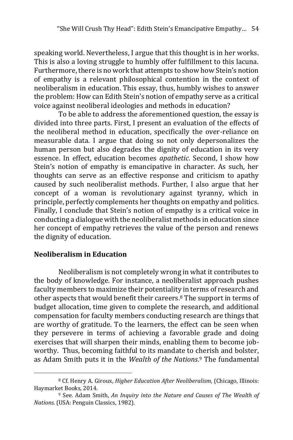speaking world. Nevertheless, I argue that this thought is in her works. This is also a loving struggle to humbly offer fulfillment to this lacuna. Furthermore, there is no work that attempts to show how Stein's notion of empathy is a relevant philosophical contention in the context of neoliberalism in education. This essay, thus, humbly wishes to answer the problem: How can Edith Stein's notion of empathy serve as a critical voice against neoliberal ideologies and methods in education?

To be able to address the aforementioned question, the essay is divided into three parts. First, I present an evaluation of the effects of the neoliberal method in education, specifically the over-reliance on measurable data. I argue that doing so not only depersonalizes the human person but also degrades the dignity of education in its very essence. In effect, education becomes *apathetic*. Second, I show how Stein's notion of empathy is emancipative in character. As such, her thoughts can serve as an effective response and criticism to apathy caused by such neoliberalist methods. Further, I also argue that her concept of a woman is revolutionary against tyranny, which in principle, perfectly complements her thoughts on empathy and politics. Finally, I conclude that Stein's notion of empathy is a critical voice in conducting a dialogue with the neoliberalist methods in education since her concept of empathy retrieves the value of the person and renews the dignity of education.

#### **Neoliberalism in Education**

-

Neoliberalism is not completely wrong in what it contributes to the body of knowledge. For instance, a neoliberalist approach pushes faculty members to maximize their potentiality in terms of research and other aspects that would benefit their careers.<sup>8</sup> The support in terms of budget allocation, time given to complete the research, and additional compensation for faculty members conducting research are things that are worthy of gratitude. To the learners, the effect can be seen when they persevere in terms of achieving a favorable grade and doing exercises that will sharpen their minds, enabling them to become jobworthy. Thus, becoming faithful to its mandate to cherish and bolster, as Adam Smith puts it in the *Wealth of the Nations*. <sup>9</sup> The fundamental

<sup>8</sup> Cf. Henry A. Giroux, *Higher Education After Neoliberalism*, (Chicago, Illinois: Haymarket Books, 2014.

<sup>9</sup> See. Adam Smith, *An Inquiry into the Nature and Causes of The Wealth of Nations*. (USA: Penguin Classics, 1982).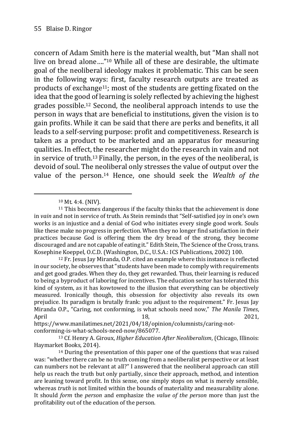concern of Adam Smith here is the material wealth, but "Man shall not live on bread alone…."<sup>10</sup> While all of these are desirable, the ultimate goal of the neoliberal ideology makes it problematic. This can be seen in the following ways: first, faculty research outputs are treated as products of exchange11; most of the students are getting fixated on the idea that the good of learning is solely reflected by achieving the highest grades possible.<sup>12</sup> Second, the neoliberal approach intends to use the person in ways that are beneficial to institutions, given the vision is to gain profits. While it can be said that there are perks and benefits, it all leads to a self-serving purpose: profit and competitiveness. Research is taken as a product to be marketed and an apparatus for measuring qualities. In effect, the researcher might do the research in vain and not in service of truth.<sup>13</sup> Finally, the person, in the eyes of the neoliberal, is devoid of soul. The neoliberal only stresses the value of output over the value of the person.<sup>14</sup> Hence, one should seek the *Wealth of the* 

-

conforming-is-what-schools-need-now/865077.

<sup>10</sup> Mt. 4:4. (NIV).

<sup>&</sup>lt;sup>11</sup> This becomes dangerous if the faculty thinks that the achievement is done in *vain* and not in service of truth. As Stein reminds that "Self-satisfied joy in one's own works is an injustice and a denial of God who initiates every single good work. Souls like these make no progress in perfection. When they no longer find satisfaction in their practices because God is offering them the dry bread of the strong, they become discouraged and are not capable of eating it." Edith Stein, The Science of the Cross, trans. Kosephine Koeppel, O.C.D. (Washington, D.C., U.S.A.: ICS Publications, 2002) 100.

 $12$  Fr. Jesus Jay Miranda, O.P. cited an example where this instance is reflected in our society, he observes that "students have been made to comply with requirements and get good grades. When they do, they get rewarded. Thus, their learning is reduced to being a byproduct of laboring for incentives. The education sector has tolerated this kind of system, as it has kowtowed to the illusion that everything can be objectively measured. Ironically though, this obsession for objectivity also reveals its own prejudice. Its paradigm is brutally frank: you adjust to the requirement." Fr. Jesus Jay Miranda O.P., "Caring, not conforming, is what schools need now," *The Manila Times*, April 2021, 2021, 2021, 2021, 2021, 2021, 2021, 2021, 2021, 2021, 2021, 2021, 2021, 2021, 2021, 2021, 2021, 20 https://www.manilatimes.net/2021/04/18/opinion/columnists/caring-not-

<sup>13</sup> Cf. Henry A. Giroux, *Higher Education After Neoliberalism*, (Chicago, Illinois: Haymarket Books, 2014).

<sup>14</sup> During the presentation of this paper one of the questions that was raised was: "whether there can be no truth coming from a neoliberalist perspective or at least can numbers not be relevant at all?" I answered that the neoliberal approach can still help us reach the truth but only partially, since their approach, method, and intention are leaning toward profit. In this sense, one simply stops on what is merely sensible, whereas *truth* is not limited within the bounds of materiality and measurability alone. It should *form* the *person* and emphasize the *value of the person* more than just the profitability out of the education of the person.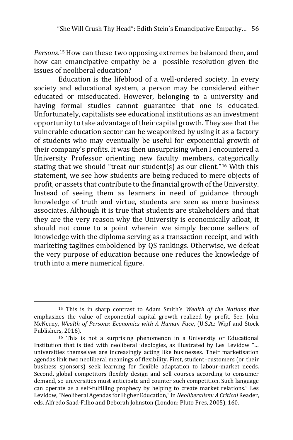*Persons*. <sup>15</sup> How can these two opposing extremes be balanced then, and how can emancipative empathy be a possible resolution given the issues of neoliberal education?

Education is the lifeblood of a well-ordered society. In every society and educational system, a person may be considered either educated or miseducated. However, belonging to a university and having formal studies cannot guarantee that one is educated. Unfortunately, capitalists see educational institutions as an investment opportunity to take advantage of their capital growth. They see that the vulnerable education sector can be weaponized by using it as a factory of students who may eventually be useful for exponential growth of their company's profits. It was then unsurprising when I encountered a University Professor orienting new faculty members, categorically stating that we should "treat our student(s) as our client."<sup>16</sup> With this statement, we see how students are being reduced to mere objects of profit, or assets that contribute to the financial growth of the University. Instead of seeing them as learners in need of guidance through knowledge of truth and virtue, students are seen as mere business associates. Although it is true that students are stakeholders and that they are the very reason why the University is economically afloat, it should not come to a point wherein we simply become sellers of knowledge with the diploma serving as a transaction receipt, and with marketing taglines emboldened by QS rankings. Otherwise, we defeat the very purpose of education because one reduces the knowledge of truth into a mere numerical figure.

<sup>15</sup> This is in sharp contrast to Adam Smith's *Wealth of the Nations* that emphasizes the value of exponential capital growth realized by profit. See. John McNerny, *Wealth of Persons: Economics with A Human Face*, (U.S.A.: Wipf and Stock Publishers, 2016).

<sup>16</sup> This is not a surprising phenomenon in a University or Educational Institution that is tied with neoliberal ideologies, as illustrated by Les Levidow "… universities themselves are increasingly acting like businesses. Their marketisation agendas link two neoliberal meanings of flexibility. First, student–customers (or their business sponsors) seek learning for flexible adaptation to labour-market needs. Second, global competitors flexibly design and sell courses according to consumer demand, so universities must anticipate and counter such competition. Such language can operate as a self-fulfilling prophecy by helping to create market relations." Les Levidow, "Neoliberal Agendas for Higher Education," in *Neoliberalism: A Critical* Reader, eds. Alfredo Saad-Filho and Deborah Johnston (London: Pluto Pres, 2005), 160.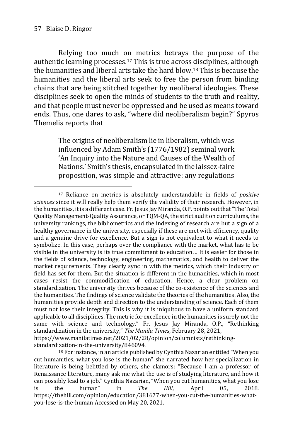-

Relying too much on metrics betrays the purpose of the authentic learning processes.<sup>17</sup> This is true across disciplines, although the humanities and liberal arts take the hard blow.<sup>18</sup> This is because the humanities and the liberal arts seek to free the person from binding chains that are being stitched together by neoliberal ideologies. These disciplines seek to open the minds of students to the truth and reality, and that people must never be oppressed and be used as means toward ends. Thus, one dares to ask, "where did neoliberalism begin?" Spyros Themelis reports that

> The origins of neoliberalism lie in liberalism, which was influenced by Adam Smith's (1776/1982) seminal work 'An Inquiry into the Nature and Causes of the Wealth of Nations.' Smith's thesis, encapsulated in the laissez-faire proposition, was simple and attractive: any regulations

<sup>17</sup> Reliance on metrics is absolutely understandable in fields of *positive sciences* since it will really help them verify the validity of their research. However, in the humanities, it is a different case. Fr. Jesus Jay Miranda, O.P. points out that "The Total Quality Management-Quality Assurance, or TQM-QA, the strict audit on curriculums, the university rankings, the bibliometrics and the indexing of research are but a sign of a healthy governance in the university, especially if these are met with efficiency, quality and a genuine drive for excellence. But a sign is not equivalent to what it needs to symbolize. In this case, perhaps over the compliance with the market, what has to be visible in the university is its true commitment to education… It is easier for those in the fields of science, technology, engineering, mathematics, and health to deliver the market requirements. They clearly sync in with the metrics, which their industry or field has set for them. But the situation is different in the humanities, which in most cases resist the commodification of education. Hence, a clear problem on standardization. The university thrives because of the co-existence of the sciences and the humanities. The findings of science validate the theories of the humanities. Also, the humanities provide depth and direction to the understanding of science. Each of them must not lose their integrity. This is why it is iniquitous to have a uniform standard applicable to all disciplines. The metric for excellence in the humanities is surely not the same with science and technology." Fr. Jesus Jay Miranda, O.P., "Rethinking standardization in the university," *The Manila Times*, February 28, 2021, https://www.manilatimes.net/2021/02/28/opinion/columnists/rethinkingstandardization-in-the-university/846094.

<sup>18</sup> For instance, in an article published by Cynthia Nazarian entitled "When you cut humanities, what you lose is the human" she narrated how her specialization in literature is being belittled by others, she clamors: "Because I am a professor of Renaissance literature, many ask me what the use is of studying literature, and how it can possibly lead to a job." Cynthia Nazarian, "When you cut humanities, what you lose is the human" in *The Hill*, April 05, 2018. https://thehill.com/opinion/education/381677-when-you-cut-the-humanities-whatyou-lose-is-the-human Accessed on May 20, 2021.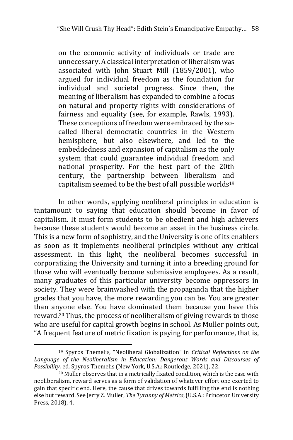on the economic activity of individuals or trade are unnecessary. A classical interpretation of liberalism was associated with John Stuart Mill (1859/2001), who argued for individual freedom as the foundation for individual and societal progress. Since then, the meaning of liberalism has expanded to combine a focus on natural and property rights with considerations of fairness and equality (see, for example, Rawls, 1993). These conceptions of freedom were embraced by the socalled liberal democratic countries in the Western hemisphere, but also elsewhere, and led to the embeddedness and expansion of capitalism as the only system that could guarantee individual freedom and national prosperity. For the best part of the 20th century, the partnership between liberalism and capitalism seemed to be the best of all possible worlds<sup>19</sup>

In other words, applying neoliberal principles in education is tantamount to saying that education should become in favor of capitalism. It must form students to be obedient and high achievers because these students would become an asset in the business circle. This is a new form of sophistry, and the University is one of its enablers as soon as it implements neoliberal principles without any critical assessment. In this light, the neoliberal becomes successful in corporatizing the University and turning it into a breeding ground for those who will eventually become submissive employees. As a result, many graduates of this particular university become oppressors in society. They were brainwashed with the propaganda that the higher grades that you have, the more rewarding you can be. You are greater than anyone else. You have dominated them because you have this reward.<sup>20</sup> Thus, the process of neoliberalism of giving rewards to those who are useful for capital growth begins in school. As Muller points out, "A frequent feature of metric fixation is paying for performance, that is,

<sup>19</sup> Spyros Themelis, "Neoliberal Globalization" in *Critical Reflections on the Language of the Neoliberalism in Education: Dangerous Words and Discourses of Possibility,* ed. Spyros Themelis (New York, U.S.A.: Routledge, 2021), 22.

<sup>20</sup> Muller observes that in a metrically fixated condition, which is the case with neoliberalism, reward serves as a form of validation of whatever effort one exerted to gain that specific end. Here, the cause that drives towards fulfilling the end is nothing else but reward. See Jerry Z. Muller, *The Tyranny of Metrics*, (U.S.A.: Princeton University Press, 2018), 4.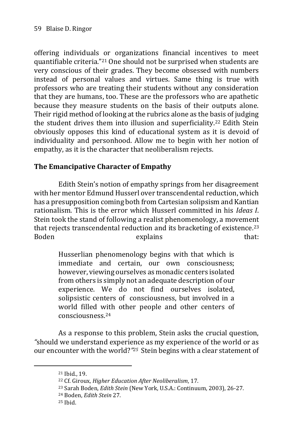offering individuals or organizations financial incentives to meet quantifiable criteria."<sup>21</sup> One should not be surprised when students are very conscious of their grades. They become obsessed with numbers instead of personal values and virtues. Same thing is true with professors who are treating their students without any consideration that they are humans, too. These are the professors who are apathetic because they measure students on the basis of their outputs alone. Their rigid method of looking at the rubrics alone as the basis of judging the student drives them into illusion and superficiality.<sup>22</sup> Edith Stein obviously opposes this kind of educational system as it is devoid of individuality and personhood. Allow me to begin with her notion of empathy, as it is the character that neoliberalism rejects.

## **The Emancipative Character of Empathy**

Edith Stein's notion of empathy springs from her disagreement with her mentor Edmund Husserl over transcendental reduction, which has a presupposition coming both from Cartesian solipsism and Kantian rationalism*.* This is the error which Husserl committed in his *Ideas I*. Stein took the stand of following a realist phenomenology, a movement that rejects transcendental reduction and its bracketing of existence*.* 23 Boden explains that:

> Husserlian phenomenology begins with that which is immediate and certain, our own consciousness; however, viewing ourselves as monadic centers isolated from others is simply not an adequate description of our experience. We do not find ourselves isolated, solipsistic centers of consciousness, but involved in a world filled with other people and other centers of consciousness.<sup>24</sup>

As a response to this problem, Stein asks the crucial question, *"*should we understand experience as my experience of the world or as our encounter with the world?*" <sup>25</sup>* Stein begins with a clear statement of

<sup>21</sup> Ibid., 19.

<sup>22</sup> Cf. Giroux, *Higher Education After Neoliberalism*, 17.

<sup>23</sup> Sarah Boden, *Edith Stein* (New York, U.S.A.: Continuum, 2003), 26-27.

<sup>24</sup> Boden, *Edith Stein* 27.

 $25$  Ihid.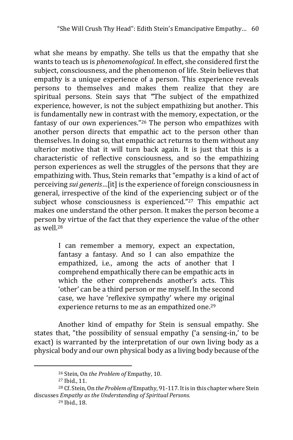what she means by empathy. She tells us that the empathy that she wants to teach us is *phenomenological*. In effect, she considered first the subject, consciousness, and the phenomenon of life. Stein believes that empathy is a unique experience of a person. This experience reveals persons to themselves and makes them realize that they are spiritual persons. Stein says that **"**The subject of the empathized experience, however, is not the subject empathizing but another. This is fundamentally new in contrast with the memory, expectation, or the fantasy of our own experiences."<sup>26</sup> The person who empathizes with another person directs that empathic act to the person other than themselves. In doing so, that empathic act returns to them without any ulterior motive that it will turn back again. It is just that this is a characteristic of reflective consciousness, and so the empathizing person experiences as well the struggles of the persons that they are empathizing with. Thus, Stein remarks that "empathy is a kind of act of perceiving *sui generis*…[it] is the experience of foreign consciousness in general, irrespective of the kind of the experiencing subject or of the subject whose consciousness is experienced."<sup>27</sup> This empathic act makes one understand the other person. It makes the person become a person by virtue of the fact that they experience the value of the other  $as well.28$ 

> I can remember a memory, expect an expectation, fantasy a fantasy. And so I can also empathize the empathized, i.e., among the acts of another that I comprehend empathically there can be empathic acts in which the other comprehends another's acts. This 'other' can be a third person or me myself. In the second case, we have 'reflexive sympathy' where my original experience returns to me as an empathized one.<sup>29</sup>

Another kind of empathy for Stein is sensual empathy. She states that, "the possibility of sensual empathy ('a sensing-in,' to be exact) is warranted by the interpretation of our own living body as a physical body and our own physical body as a living body because of the

<sup>26</sup> Stein, On *the Problem of* Empathy, 10.

<sup>27</sup> Ibid., 11.

<sup>28</sup> Cf. Stein, On *the Problem of* Empathy, 91-117. It is in this chapter where Stein discusses *Empathy as the Understanding of Spiritual Persons.*

<sup>29</sup> Ibid., 18.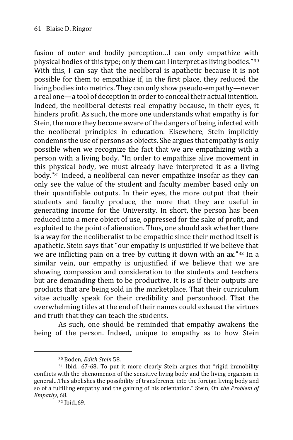fusion of outer and bodily perception…I can only empathize with physical bodies of this type; only them can I interpret as living bodies."<sup>30</sup> With this, I can say that the neoliberal is apathetic because it is not possible for them to empathize if, in the first place, they reduced the living bodies into metrics. They can only show pseudo-empathy—never a real one—a tool of deception in order to conceal their actual intention. Indeed, the neoliberal detests real empathy because, in their eyes, it hinders profit. As such, the more one understands what empathy is for Stein, the more they become aware of the dangers of being infected with the neoliberal principles in education. Elsewhere, Stein implicitly condemns the use of persons as objects. She argues that empathy is only possible when we recognize the fact that we are empathizing with a person with a living body. "In order to empathize alive movement in this physical body, we must already have interpreted it as a living body."<sup>31</sup> Indeed, a neoliberal can never empathize insofar as they can only see the value of the student and faculty member based only on their quantifiable outputs. In their eyes, the more output that their students and faculty produce, the more that they are useful in generating income for the University. In short, the person has been reduced into a mere object of use, oppressed for the sake of profit, and exploited to the point of alienation. Thus, one should ask whether there is a way for the neoliberalist to be empathic since their method itself is apathetic. Stein says that "our empathy is unjustified if we believe that we are inflicting pain on a tree by cutting it down with an ax."<sup>32</sup> In a similar vein, our empathy is unjustified if we believe that we are showing compassion and consideration to the students and teachers but are demanding them to be productive. It is as if their outputs are products that are being sold in the marketplace. That their curriculum vitae actually speak for their credibility and personhood. That the overwhelming titles at the end of their names could exhaust the virtues and truth that they can teach the students.

As such, one should be reminded that empathy awakens the being of the person. Indeed, unique to empathy as to how Stein

<sup>30</sup> Boden, *Edith Stein* 58.

 $31$  Ibid., 67-68. To put it more clearly Stein argues that "rigid immobility conflicts with the phenomenon of the sensitive living body and the living organism in general…This abolishes the possibility of transference into the foreign living body and so of a fulfilling empathy and the gaining of his orientation." Stein, On *the Problem of Empathy*, 68.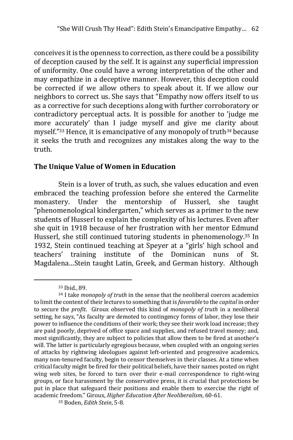conceives it is the openness to correction, as there could be a possibility of deception caused by the self. It is against any superficial impression of uniformity. One could have a wrong interpretation of the other and may empathize in a deceptive manner. However, this deception could be corrected if we allow others to speak about it. If we allow our neighbors to correct us. She says that "Empathy now offers itself to us as a corrective for such deceptions along with further corroboratory or contradictory perceptual acts. It is possible for another to 'judge me more accurately' than I judge myself and give me clarity about myself."<sup>33</sup> Hence, it is emancipative of any monopoly of truth*<sup>34</sup>* because it seeks the truth and recognizes any mistakes along the way to the truth.

### **The Unique Value of Women in Education**

Stein is a lover of truth, as such, she values education and even embraced the teaching profession before she entered the Carmelite monastery. Under the mentorship of Husserl, she taught "phenomenological kindergarten," which serves as a primer to the new students of Husserl to explain the complexity of his lectures. Even after she quit in 1918 because of her frustration with her mentor Edmund Husserl, she still continued tutoring students in phenomenology.<sup>35</sup> In 1932, Stein continued teaching at Speyer at a "girls' high school and teachers' training institute of the Dominican nuns of St. Magdalena…Stein taught Latin, Greek, and German history. Although

<sup>33</sup> Ibid., 89.

<sup>34</sup> I take *monopoly of truth* in the sense that the neoliberal coerces academics to limit the content of their lectures to something that is *favorable* to the *capital* in order to secure the *profit*. Giroux observed this kind of *monopoly of truth* in a neoliberal setting, he says, "As faculty are demoted to contingency forms of labor, they lose their power to influence the conditions of their work; they see their work load increase; they are paid poorly, deprived of office space and supplies, and refused travel money; and, most significantly, they are subject to policies that allow them to be fired at another's will. The latter is particularly egregious because, when coupled with an ongoing series of attacks by rightwing ideologues against left-oriented and progressive academics, many non-tenured faculty, begin to censor themselves in their classes. At a time when critical faculty might be fired for their political beliefs, have their names posted on right wing web sites, be forced to turn over their e-mail correspondence to right-wing groups, or face harassment by the conservative press, it is crucial that protections be put in place that safeguard their positions and enable them to exercise the right of academic freedom." Giroux, *Higher Education After Neoliberalism*, 60-61.

<sup>35</sup> Boden, *Edith Stein*, 5-8.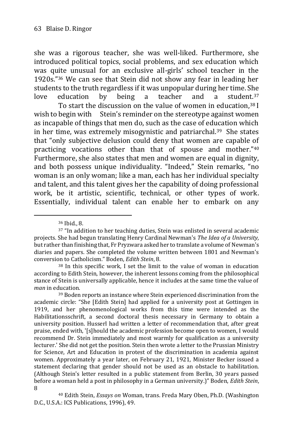she was a rigorous teacher, she was well-liked. Furthermore, she introduced political topics, social problems, and sex education which was quite unusual for an exclusive all-girls' school teacher in the 1920s."<sup>36</sup> We can see that Stein did not show any fear in leading her students to the truth regardless if it was unpopular during her time. She love education by being a teacher and a student.<sup>37</sup>

To start the discussion on the value of women in education,<sup>38</sup> I wish to begin with Stein's reminder on the stereotype against women as incapable of things that men do, such as the case of education which in her time, was extremely misogynistic and patriarchal.<sup>39</sup> She states that "only subjective delusion could deny that women are capable of practicing vocations other than that of spouse and mother."<sup>40</sup> Furthermore, she also states that men and women are equal in dignity, and both possess unique individuality. "Indeed," Stein remarks, "no woman is an only woman; like a man, each has her individual specialty and talent, and this talent gives her the capability of doing professional work, be it artistic, scientific, technical, or other types of work. Essentially, individual talent can enable her to embark on any

<sup>36</sup> Ibid., 8.

<sup>37</sup> "In addition to her teaching duties, Stein was enlisted in several academic projects. She had begun translating Henry Cardinal Newman's *The Idea of a University,*  but rather than finishing that, Fr Pryzwara asked her to translate a volume of Newman's diaries and papers. She completed the volume written between 1801 and Newman's conversion to Catholicism." Boden, *Edith Stein*, 8.

<sup>38</sup> In this specific work, I set the limit to the value of woman in education according to Edith Stein, however, the inherent lessons coming from the philosophical stance of Stein is universally applicable, hence it includes at the same time the value of *man* in education.

<sup>39</sup> Boden reports an instance where Stein experienced discrimination from the academic circle: "She [Edith Stein] had applied for a university post at Gottingen in 1919, and her phenomenological works from this time were intended as the Habilitationsschrift, a second doctoral thesis necessary in Germany to obtain a university position. Husserl had written a letter of recommendation that, after great praise, ended with, '[s]hould the academic profession become open to women, I would recommend Dr. Stein immediately and most warmly for qualification as a university lecturer.' She did not get the position. Stein then wrote a letter to the Prussian Ministry for Science, Art and Education in protest of the discrimination in academia against women. Approximately a year later, on February 21, 1921, Minister Becker issued a statement declaring that gender should not be used as an obstacle to habilitation. (Although Stein's letter resulted in a public statement from Berlin, 30 years passed before a woman held a post in philosophy in a German university.)" Boden, *Edith Stein*, 8

<sup>40</sup> Edith Stein, *Essays on* Woman, trans. Freda Mary Oben, Ph.D. (Washington D.C., U.S.A.: ICS Publications, 1996), 49.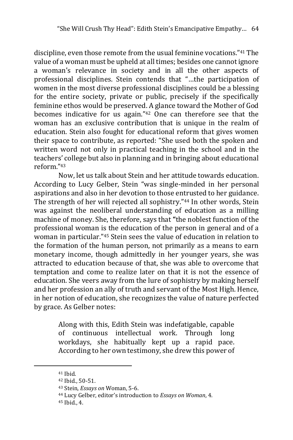discipline, even those remote from the usual feminine vocations."<sup>41</sup> The value of a woman must be upheld at all times; besides one cannot ignore a woman's relevance in society and in all the other aspects of professional disciplines. Stein contends that "…the participation of women in the most diverse professional disciplines could be a blessing for the entire society, private or public, precisely if the specifically feminine ethos would be preserved. A glance toward the Mother of God becomes indicative for us again."<sup>42</sup> One can therefore see that the woman has an exclusive contribution that is unique in the realm of education. Stein also fought for educational reform that gives women their space to contribute, as reported: "She used both the spoken and written word not only in practical teaching in the school and in the teachers' college but also in planning and in bringing about educational reform."<sup>43</sup>

Now, let us talk about Stein and her attitude towards education. According to Lucy Gelber, Stein "was single-minded in her personal aspirations and also in her devotion to those entrusted to her guidance. The strength of her will rejected all sophistry."<sup>44</sup> In other words, Stein was against the neoliberal understanding of education as a milling machine of money. She, therefore, says that **"**the noblest function of the professional woman is the education of the person in general and of a woman in particular."<sup>45</sup> Stein sees the value of education in relation to the formation of the human person, not primarily as a means to earn monetary income, though admittedly in her younger years, she was attracted to education because of that, she was able to overcome that temptation and come to realize later on that it is not the essence of education. She veers away from the lure of sophistry by making herself and her profession an ally of truth and servant of the Most High. Hence, in her notion of education, she recognizes the value of nature perfected by grace. As Gelber notes:

> Along with this, Edith Stein was indefatigable, capable of continuous intellectual work. Through long workdays, she habitually kept up a rapid pace. According to her own testimony, she drew this power of

<sup>41</sup> Ibid.

<sup>42</sup> Ibid., 50-51.

<sup>43</sup> Stein, *Essays on* Woman, 5-6.

<sup>44</sup> Lucy Gelber, editor's introduction to *Essays on Woman*, 4.

<sup>45</sup> Ibid., 4.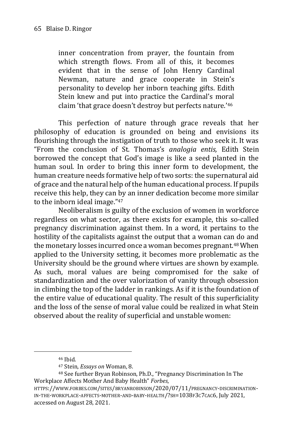inner concentration from prayer, the fountain from which strength flows. From all of this, it becomes evident that in the sense of John Henry Cardinal Newman, nature and grace cooperate in Stein's personality to develop her inborn teaching gifts. Edith Stein knew and put into practice the Cardinal's moral claim 'that grace doesn't destroy but perfects nature.'<sup>46</sup>

This perfection of nature through grace reveals that her philosophy of education is grounded on being and envisions its flourishing through the instigation of truth to those who seek it. It was "From the conclusion of St. Thomas's *analogia entis,* Edith Stein borrowed the concept that God's image is like a seed planted in the human soul. In order to bring this inner form to development, the human creature needs formative help of two sorts: the supernatural aid of grace and the natural help of the human educational process. If pupils receive this help, they can by an inner dedication become more similar to the inborn ideal image."<sup>47</sup>

Neoliberalism is guilty of the exclusion of women in workforce regardless on what sector, as there exists for example, this so-called pregnancy discrimination against them. In a word, it pertains to the hostility of the capitalists against the output that a woman can do and the monetary losses incurred once a woman becomes pregnant.<sup>48</sup> When applied to the University setting, it becomes more problematic as the University should be the ground where virtues are shown by example. As such, moral values are being compromised for the sake of standardization and the over valorization of vanity through obsession in climbing the top of the ladder in rankings. As if it is the foundation of the entire value of educational quality. The result of this superficiality and the loss of the sense of moral value could be realized in what Stein observed about the reality of superficial and unstable women:

<sup>46</sup> Ibid.

<sup>47</sup> Stein, *Essays on* Woman, 8.

<sup>48</sup> See further Bryan Robinson, Ph.D., "Pregnancy Discrimination In The Workplace Affects Mother And Baby Health" *Forbes*,

HTTPS://WWW.FORBES.COM/SITES/BRYANROBINSON/2020/07/11/PREGNANCY-DISCRIMINATION-IN-THE-WORKPLACE-AFFECTS-MOTHER-AND-BABY-HEALTH/?SH=1038F3C7CAC6, July 2021, accessed on August 28, 2021.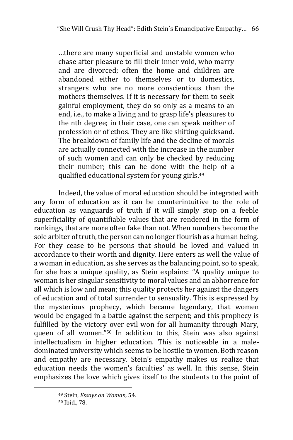…there are many superficial and unstable women who chase after pleasure to fill their inner void, who marry and are divorced; often the home and children are abandoned either to themselves or to domestics, strangers who are no more conscientious than the mothers themselves. If it is necessary for them to seek gainful employment, they do so only as a means to an end, i.e., to make a living and to grasp life's pleasures to the nth degree; in their case, one can speak neither of profession or of ethos. They are like shifting quicksand. The breakdown of family life and the decline of morals are actually connected with the increase in the number of such women and can only be checked by reducing their number; this can be done with the help of a qualified educational system for young girls.<sup>49</sup>

Indeed, the value of moral education should be integrated with any form of education as it can be counterintuitive to the role of education as vanguards of truth if it will simply stop on a feeble superficiality of quantifiable values that are rendered in the form of rankings, that are more often fake than not. When numbers become the sole arbiter of truth, the person can no longer flourish as a human being. For they cease to be persons that should be loved and valued in accordance to their worth and dignity. Here enters as well the value of a woman in education, as she serves as the balancing point, so to speak, for she has a unique quality, as Stein explains: "A quality unique to woman is her singular sensitivity to moral values and an abhorrence for all which is low and mean; this quality protects her against the dangers of education and of total surrender to sensuality. This is expressed by the mysterious prophecy, which became legendary, that women would be engaged in a battle against the serpent; and this prophecy is fulfilled by the victory over evil won for all humanity through Mary, queen of all women."<sup>50</sup> In addition to this, Stein was also against intellectualism in higher education. This is noticeable in a maledominated university which seems to be hostile to women. Both reason and empathy are necessary. Stein's empathy makes us realize that education needs the women's faculties' as well. In this sense, Stein emphasizes the love which gives itself to the students to the point of

<sup>49</sup> Stein, *Essays on Woman,* 54.

<sup>50</sup> Ibid., 78.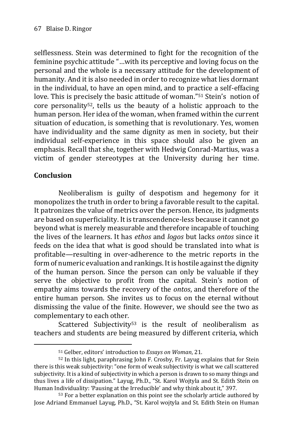selflessness. Stein was determined to fight for the recognition of the feminine psychic attitude "…with its perceptive and loving focus on the personal and the whole is a necessary attitude for the development of humanity. And it is also needed in order to recognize what lies dormant in the individual, to have an open mind, and to practice a self-effacing love. This is precisely the basic attitude of woman."<sup>51</sup> Stein's notion of core personality52, tells us the beauty of a holistic approach to the human person. Her idea of the woman, when framed within the current situation of education, is something that is revolutionary. Yes, women have individuality and the same dignity as men in society, but their individual self-experience in this space should also be given an emphasis. Recall that she, together with Hedwig Conrad-Martius, was a victim of gender stereotypes at the University during her time.

## **Conclusion**

-

Neoliberalism is guilty of despotism and hegemony for it monopolizes the truth in order to bring a favorable result to the capital. It patronizes the value of metrics over the person. Hence, its judgments are based on superficiality. It is transcendence-less because it cannot go beyond what is merely measurable and therefore incapable of touching the lives of the learners. It has *ethos* and *logos* but lacks *ontos* since it feeds on the idea that what is good should be translated into what is profitable—resulting in over-adherence to the metric reports in the form of numeric evaluation and rankings. It is hostile against the dignity of the human person. Since the person can only be valuable if they serve the objective to profit from the capital. Stein's notion of empathy aims towards the recovery of the *ontos*, and therefore of the entire human person. She invites us to focus on the eternal without dismissing the value of the finite. However, we should see the two as complementary to each other.

Scattered Subjectivity<sup>53</sup> is the result of neoliberalism as teachers and students are being measured by different criteria, which

<sup>51</sup> Gelber, editors' introduction to *Essays on Woman*, 21.

<sup>52</sup> In this light, paraphrasing John F. Crosby, Fr. Layug explains that for Stein there is this weak subjectivity: "one form of weak subjectivity is what we call scattered subjectivity. It is a kind of subjectivity in which a person is drawn to so many things and thus lives a life of dissipation." Layug, Ph.D., "St. Karol Wojtyla and St. Edith Stein on Human Individuality: 'Pausing at the Irreducible' and why think about it," 397.

<sup>53</sup> For a better explanation on this point see the scholarly article authored by Jose Adriand Emmanuel Layug, Ph.D., "St. Karol wojtyla and St. Edith Stein on Human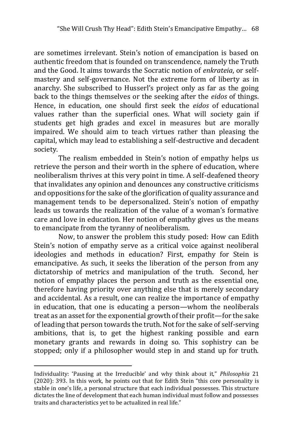are sometimes irrelevant. Stein's notion of emancipation is based on authentic freedom that is founded on transcendence, namely the Truth and the Good. It aims towards the Socratic notion of *enkrateia*, or selfmastery and self-governance. Not the extreme form of liberty as in anarchy. She subscribed to Husserl's project only as far as the going back to the things themselves or the seeking after the *eidos* of things. Hence, in education, one should first seek the *eidos* of educational values rather than the superficial ones. What will society gain if students get high grades and excel in measures but are morally impaired. We should aim to teach virtues rather than pleasing the capital, which may lead to establishing a self-destructive and decadent society.

The realism embedded in Stein's notion of empathy helps us retrieve the person and their worth in the sphere of education, where neoliberalism thrives at this very point in time. A self-deafened theory that invalidates any opinion and denounces any constructive criticisms and oppositions for the sake of the glorification of quality assurance and management tends to be depersonalized. Stein's notion of empathy leads us towards the realization of the value of a woman's formative care and love in education. Her notion of empathy gives us the means to emancipate from the tyranny of neoliberalism.

Now, to answer the problem this study posed: How can Edith Stein's notion of empathy serve as a critical voice against neoliberal ideologies and methods in education? First, empathy for Stein is emancipative. As such, it seeks the liberation of the person from any dictatorship of metrics and manipulation of the truth. Second, her notion of empathy places the person and truth as the essential one, therefore having priority over anything else that is merely secondary and accidental. As a result, one can realize the importance of empathy in education, that one is educating a person—whom the neoliberals treat as an asset for the exponential growth of their profit—for the sake of leading that person towards the truth. Not for the sake of self-serving ambitions, that is, to get the highest ranking possible and earn monetary grants and rewards in doing so. This sophistry can be stopped; only if a philosopher would step in and stand up for truth.

Individuality: 'Pausing at the Irreducible' and why think about it," *Philosophia* 21 (2020): 393. In this work, he points out that for Edith Stein "this core personality is stable in one's life, a personal structure that each individual possesses. This structure dictates the line of development that each human individual must follow and possesses traits and characteristics yet to be actualized in real life."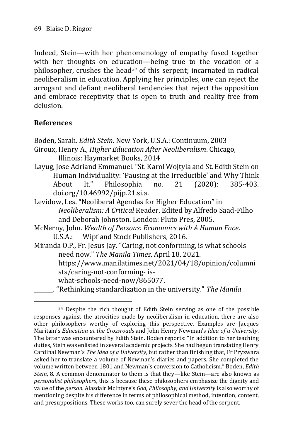Indeed, Stein—with her phenomenology of empathy fused together with her thoughts on education—being true to the vocation of a philosopher, crushes the head*<sup>54</sup>* of this serpent; incarnated in radical neoliberalism in education. Applying her principles, one can reject the arrogant and defiant neoliberal tendencies that reject the opposition and embrace receptivity that is open to truth and reality free from delusion.

## **References**

Boden, Sarah. *Edith Stein*. New York, U.S.A.: Continuum, 2003

Giroux, Henry A., *Higher Education After Neoliberalism*. Chicago, Illinois: Haymarket Books, 2014

- Layug, Jose Adriand Emmanuel. "St. Karol Wojtyla and St. Edith Stein on Human Individuality: 'Pausing at the Irreducible' and Why Think About It." Philosophia no. 21 (2020): 385-403. doi.org/10.46992/pijp.21.si.a.
- Levidow, Les. "Neoliberal Agendas for Higher Education" in *Neoliberalism: A Critical* Reader. Edited by Alfredo Saad-Filho and Deborah Johnston. London: Pluto Pres, 2005.
- McNerny, John. *Wealth of Persons: Economics with A Human Face*. U.S.A.: Wipf and Stock Publishers, 2016.
- Miranda O.P., Fr. Jesus Jay. "Caring, not conforming, is what schools need now." *The Manila Times*, April 18, 2021. https://www.manilatimes.net/2021/04/18/opinion/columni sts/caring-not-conforming- is what-schools-need-now/865077. \_\_\_\_\_\_\_. "Rethinking standardization in the university." *The Manila*

<sup>-</sup><sup>54</sup> Despite the rich thought of Edith Stein serving as one of the possible responses against the atrocities made by neoliberalism in education, there are also other philosophers worthy of exploring this perspective. Examples are Jacques Maritain's *Education at the Crossroads* and John Henry Newman's *Idea of a University*. The latter was encountered by Edith Stein. Boden reports: "In addition to her teaching duties, Stein was enlisted in several academic projects. She had begun translating Henry Cardinal Newman's *The Idea of a University*, but rather than finishing that, Fr Pryzwara asked her to translate a volume of Newman's diaries and papers. She completed the volume written between 1801 and Newman's conversion to Catholicism." Boden, *Edith Stein*, 8. A common denominator to them is that they—like Stein—are also known as *personalist philosophers*, this is because these philosophers emphasize the dignity and value of the *person.* Alasdair McIntyre's *God, Philosophy, and University* is also worthy of mentioning despite his difference in terms of philosophical method, intention, content, and presuppositions. These works too, can surely sever the head of the serpent.